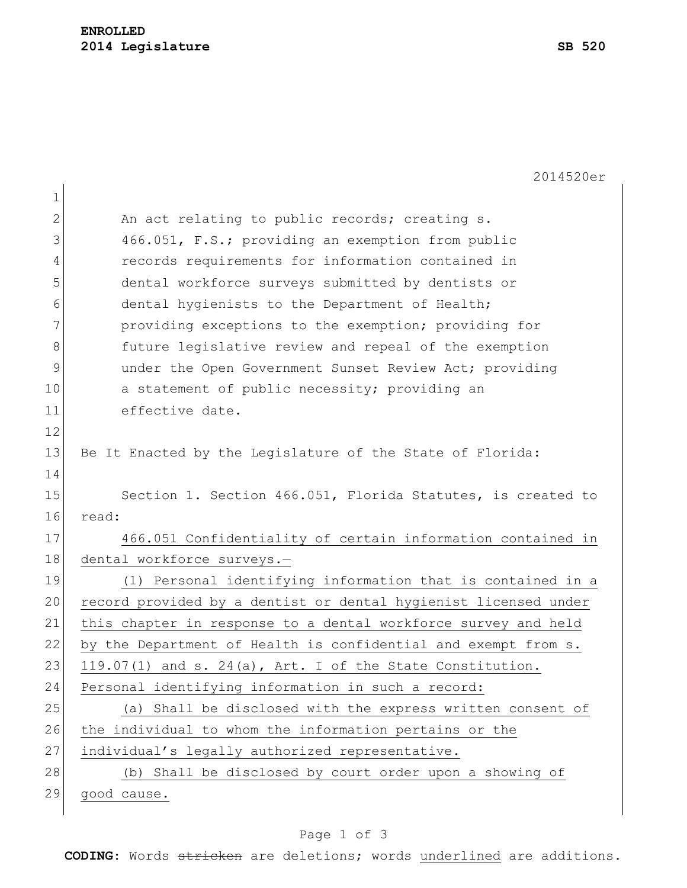2014520er 1 2 An act relating to public records; creating s. 3 466.051, F.S.; providing an exemption from public 4 records requirements for information contained in 5 dental workforce surveys submitted by dentists or 6 6 dental hygienists to the Department of Health; 7 **providing exceptions to the exemption;** providing for 8 6 8 future legislative review and repeal of the exemption 9 ander the Open Government Sunset Review Act; providing 10 a statement of public necessity; providing an 11 effective date. 12 13 Be It Enacted by the Legislature of the State of Florida: 14 15 Section 1. Section 466.051, Florida Statutes, is created to 16 read: 17 466.051 Confidentiality of certain information contained in 18 dental workforce surveys.-19 (1) Personal identifying information that is contained in a 20 record provided by a dentist or dental hygienist licensed under 21 this chapter in response to a dental workforce survey and held 22 by the Department of Health is confidential and exempt from s. 23 119.07(1) and s. 24(a), Art. I of the State Constitution. 24 Personal identifying information in such a record: 25 (a) Shall be disclosed with the express written consent of 26 the individual to whom the information pertains or the 27 individual's legally authorized representative. 28 (b) Shall be disclosed by court order upon a showing of 29 good cause.

## Page 1 of 3

**CODING**: Words stricken are deletions; words underlined are additions.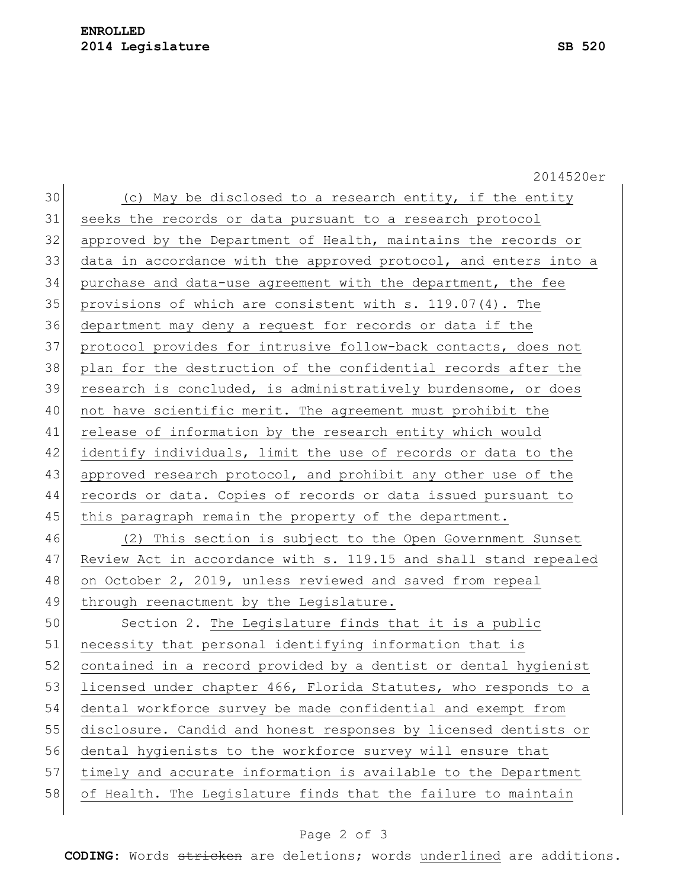## **ENROLLED 2014 Legislature SB 520**

2014520er  $30$  (c) May be disclosed to a research entity, if the entity 31 seeks the records or data pursuant to a research protocol 32 approved by the Department of Health, maintains the records or 33 data in accordance with the approved protocol, and enters into a 34 purchase and data-use agreement with the department, the fee 35 provisions of which are consistent with s. 119.07(4). The 36 department may deny a request for records or data if the 37 protocol provides for intrusive follow-back contacts, does not 38 plan for the destruction of the confidential records after the 39 research is concluded, is administratively burdensome, or does 40 not have scientific merit. The agreement must prohibit the 41 release of information by the research entity which would 42 identify individuals, limit the use of records or data to the 43 approved research protocol, and prohibit any other use of the 44 records or data. Copies of records or data issued pursuant to 45 this paragraph remain the property of the department. 46 (2) This section is subject to the Open Government Sunset 47 Review Act in accordance with s. 119.15 and shall stand repealed 48 on October 2, 2019, unless reviewed and saved from repeal 49 through reenactment by the Legislature. 50 Section 2. The Legislature finds that it is a public 51 necessity that personal identifying information that is 52 contained in a record provided by a dentist or dental hygienist 53 licensed under chapter 466, Florida Statutes, who responds to a 54 dental workforce survey be made confidential and exempt from 55 disclosure. Candid and honest responses by licensed dentists or 56 dental hygienists to the workforce survey will ensure that 57 timely and accurate information is available to the Department 58 of Health. The Legislature finds that the failure to maintain

## Page 2 of 3

**CODING**: Words stricken are deletions; words underlined are additions.